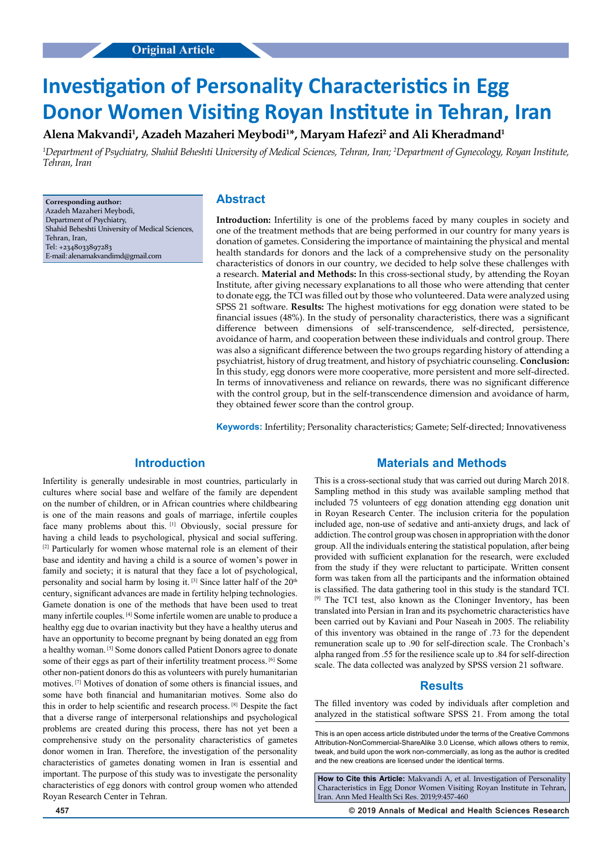# **Investigation of Personality Characteristics in Egg Donor Women Visiting Royan Institute in Tehran, Iran**

## **Alena Makvandi1 , Azadeh Mazaheri Meybodi1 \*, Maryam Hafezi2 and Ali Kheradmand1**

*1 Department of Psychiatry, Shahid Beheshti University of Medical Sciences, Tehran, Iran; 2 Department of Gynecology, Royan Institute, Tehran, Iran*

**Corresponding author:** Azadeh Mazaheri Meybodi, Department of Psychiatry, Shahid Beheshti University of Medical Sciences, Tehran, Iran, Tel: +2348033897283 E-mail: alenamakvandimd@gmail.com

## **Abstract**

**Introduction:** Infertility is one of the problems faced by many couples in society and one of the treatment methods that are being performed in our country for many years is donation of gametes. Considering the importance of maintaining the physical and mental health standards for donors and the lack of a comprehensive study on the personality characteristics of donors in our country, we decided to help solve these challenges with a research. **Material and Methods:** In this cross-sectional study, by attending the Royan Institute, after giving necessary explanations to all those who were attending that center to donate egg, the TCI was filled out by those who volunteered. Data were analyzed using SPSS 21 software. **Results:** The highest motivations for egg donation were stated to be financial issues (48%). In the study of personality characteristics, there was a significant difference between dimensions of self-transcendence, self-directed, persistence, avoidance of harm, and cooperation between these individuals and control group. There was also a significant difference between the two groups regarding history of attending a psychiatrist, history of drug treatment, and history of psychiatric counseling. **Conclusion:** In this study, egg donors were more cooperative, more persistent and more self-directed. In terms of innovativeness and reliance on rewards, there was no significant difference with the control group, but in the self-transcendence dimension and avoidance of harm, they obtained fewer score than the control group.

**Keywords:** Infertility; Personality characteristics; Gamete; Self-directed; Innovativeness

# **Introduction**

Infertility is generally undesirable in most countries, particularly in cultures where social base and welfare of the family are dependent on the number of children, or in African countries where childbearing is one of the main reasons and goals of marriage, infertile couples face many problems about this. [1] Obviously, social pressure for having a child leads to psychological, physical and social suffering. [2] Particularly for women whose maternal role is an element of their base and identity and having a child is a source of women's power in family and society; it is natural that they face a lot of psychological, personality and social harm by losing it.  $[3]$  Since latter half of the 20<sup>th</sup> century, significant advances are made in fertility helping technologies. Gamete donation is one of the methods that have been used to treat many infertile couples. [4] Some infertile women are unable to produce a healthy egg due to ovarian inactivity but they have a healthy uterus and have an opportunity to become pregnant by being donated an egg from a healthy woman. [5] Some donors called Patient Donors agree to donate some of their eggs as part of their infertility treatment process. [6] Some other non-patient donors do this as volunteers with purely humanitarian motives. [7] Motives of donation of some others is financial issues, and some have both financial and humanitarian motives. Some also do this in order to help scientific and research process. [8] Despite the fact that a diverse range of interpersonal relationships and psychological problems are created during this process, there has not yet been a comprehensive study on the personality characteristics of gametes donor women in Iran. Therefore, the investigation of the personality characteristics of gametes donating women in Iran is essential and important. The purpose of this study was to investigate the personality characteristics of egg donors with control group women who attended Royan Research Center in Tehran.

## **Materials and Methods**

This is a cross-sectional study that was carried out during March 2018. Sampling method in this study was available sampling method that included 75 volunteers of egg donation attending egg donation unit in Royan Research Center. The inclusion criteria for the population included age, non-use of sedative and anti-anxiety drugs, and lack of addiction. The control group was chosen in appropriation with the donor group. All the individuals entering the statistical population, after being provided with sufficient explanation for the research, were excluded from the study if they were reluctant to participate. Written consent form was taken from all the participants and the information obtained is classified. The data gathering tool in this study is the standard TCI. [9] The TCI test, also known as the Cloninger Inventory, has been translated into Persian in Iran and its psychometric characteristics have been carried out by Kaviani and Pour Naseah in 2005. The reliability of this inventory was obtained in the range of .73 for the dependent remuneration scale up to .90 for self-direction scale. The Cronbach's alpha ranged from .55 for the resilience scale up to .84 for self-direction scale. The data collected was analyzed by SPSS version 21 software.

## **Results**

The filled inventory was coded by individuals after completion and analyzed in the statistical software SPSS 21. From among the total

This is an open access article distributed under the terms of the Creative Commons Attribution‑NonCommercial‑ShareAlike 3.0 License, which allows others to remix, tweak, and build upon the work non‑commercially, as long as the author is credited and the new creations are licensed under the identical terms.

**How to Cite this Article:** Makvandi A, et al. Investigation of Personality Characteristics in Egg Donor Women Visiting Royan Institute in Tehran, Iran. Ann Med Health Sci Res. 2019;9:457-460

**457 © 2019 Annals of Medical and Health Sciences Research**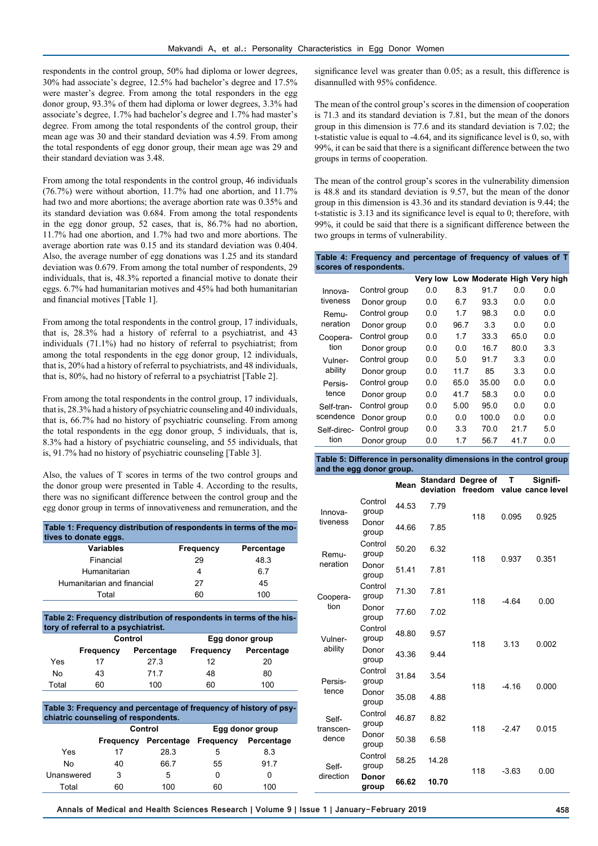respondents in the control group, 50% had diploma or lower degrees, 30% had associate's degree, 12.5% had bachelor's degree and 17.5% were master's degree. From among the total responders in the egg donor group, 93.3% of them had diploma or lower degrees, 3.3% had associate's degree, 1.7% had bachelor's degree and 1.7% had master's degree. From among the total respondents of the control group, their mean age was 30 and their standard deviation was 4.59. From among the total respondents of egg donor group, their mean age was 29 and their standard deviation was 3.48.

From among the total respondents in the control group, 46 individuals (76.7%) were without abortion, 11.7% had one abortion, and 11.7% had two and more abortions; the average abortion rate was 0.35% and its standard deviation was 0.684. From among the total respondents in the egg donor group, 52 cases, that is, 86.7% had no abortion, 11.7% had one abortion, and 1.7% had two and more abortions. The average abortion rate was 0.15 and its standard deviation was 0.404. Also, the average number of egg donations was 1.25 and its standard deviation was 0.679. From among the total number of respondents, 29 individuals, that is, 48.3% reported a financial motive to donate their eggs. 6.7% had humanitarian motives and 45% had both humanitarian and financial motives [Table 1].

From among the total respondents in the control group, 17 individuals, that is, 28.3% had a history of referral to a psychiatrist, and 43 individuals (71.1%) had no history of referral to psychiatrist; from among the total respondents in the egg donor group, 12 individuals, that is, 20% had a history of referral to psychiatrists, and 48 individuals, that is, 80%, had no history of referral to a psychiatrist [Table 2].

From among the total respondents in the control group, 17 individuals, that is, 28.3% had a history of psychiatric counseling and 40 individuals, that is, 66.7% had no history of psychiatric counseling. From among the total respondents in the egg donor group, 5 individuals, that is, 8.3% had a history of psychiatric counseling, and 55 individuals, that is, 91.7% had no history of psychiatric counseling [Table 3].

Also, the values of T scores in terms of the two control groups and the donor group were presented in Table 4. According to the results, there was no significant difference between the control group and the egg donor group in terms of innovativeness and remuneration, and the

| Table 1: Frequency distribution of respondents in terms of the mo-<br>tives to donate eggs. |           |            |  |  |
|---------------------------------------------------------------------------------------------|-----------|------------|--|--|
| <b>Variables</b>                                                                            | Frequency | Percentage |  |  |
| Financial                                                                                   | 29        | 48.3       |  |  |
| Humanitarian                                                                                | 4         | 67         |  |  |
| Humanitarian and financial                                                                  | 27        | 45         |  |  |
| Total                                                                                       | 60        | 100        |  |  |

**Table 2: Frequency distribution of respondents in terms of the history of referral to a psychiatrist.**

|       |           | Control    | Egg donor group |            |  |
|-------|-----------|------------|-----------------|------------|--|
|       | Frequency | Percentage | Frequency       | Percentage |  |
| Yes   | 17        | 27.3       | 12              | 20         |  |
| No    | 43        | 717        | 48              | 80         |  |
| Total | 60        | 100        | 60              | 100        |  |

| Table 3: Frequency and percentage of frequency of history of psy-<br>chiatric counseling of respondents. |           |            |                  |            |  |
|----------------------------------------------------------------------------------------------------------|-----------|------------|------------------|------------|--|
|                                                                                                          |           | Control    | Egg donor group  |            |  |
|                                                                                                          | Frequency | Percentage | <b>Frequency</b> | Percentage |  |
| Yes                                                                                                      | 17        | 28.3       | 5                | 8.3        |  |
| N٥                                                                                                       | 40        | 66.7       | 55               | 91.7       |  |
| Unanswered                                                                                               | 3         | 5          |                  | 0          |  |
| Total                                                                                                    | ഩ         | 100        | ิคก              | 100        |  |

significance level was greater than 0.05; as a result, this difference is disannulled with 95% confidence.

The mean of the control group's scores in the dimension of cooperation is 71.3 and its standard deviation is 7.81, but the mean of the donors group in this dimension is 77.6 and its standard deviation is 7.02; the t-statistic value is equal to -4.64, and its significance level is 0, so, with 99%, it can be said that there is a significant difference between the two groups in terms of cooperation.

The mean of the control group's scores in the vulnerability dimension is 48.8 and its standard deviation is 9.57, but the mean of the donor group in this dimension is 43.36 and its standard deviation is 9.44; the t-statistic is 3.13 and its significance level is equal to 0; therefore, with 99%, it could be said that there is a significant difference between the two groups in terms of vulnerability.

| Table 4: Frequency and percentage of frequency of values of T |                        |     |      |       |      |                                      |  |
|---------------------------------------------------------------|------------------------|-----|------|-------|------|--------------------------------------|--|
|                                                               | scores of respondents. |     |      |       |      |                                      |  |
|                                                               |                        |     |      |       |      | Very low Low Moderate High Very high |  |
| Innova-                                                       | Control group          | 0.0 | 8.3  | 91.7  | 0.0  | 0.0                                  |  |
| tiveness                                                      | Donor group            | 0.0 | 6.7  | 93.3  | 0.0  | 0.0                                  |  |
| Remu-                                                         | Control group          | 0.0 | 1.7  | 98.3  | 0.0  | 0.0                                  |  |
| neration                                                      | Donor group            | 0.0 | 96.7 | 3.3   | 0.0  | 0.0                                  |  |
| Coopera-                                                      | Control group          | 0.0 | 1.7  | 33.3  | 65.0 | 0.0                                  |  |
| tion                                                          | Donor group            | 0.0 | 0.0  | 16.7  | 80.0 | 3.3                                  |  |
| Vulner-                                                       | Control group          | 0.0 | 5.0  | 91.7  | 3.3  | 0.0                                  |  |
| ability                                                       | Donor group            | 0.0 | 11.7 | 85    | 3.3  | 0.0                                  |  |
| Persis-                                                       | Control group          | 0.0 | 65.0 | 35.00 | 0.0  | 0.0                                  |  |
| tence                                                         | Donor group            | 0.0 | 41.7 | 58.3  | 0.0  | 0.0                                  |  |
| Self-tran-                                                    | Control group          | 0.0 | 5.00 | 95.0  | 0.0  | 0.0                                  |  |
| scendence                                                     | Donor group            | 0.0 | 0.0  | 100.0 | 0.0  | 0.0                                  |  |
| Self-direc-                                                   | Control group          | 0.0 | 3.3  | 70.0  | 21.7 | 5.0                                  |  |
| tion                                                          | Donor group            | 0.0 | 1.7  | 56.7  | 41.7 | 0.0                                  |  |

| Table 5: Difference in personality dimensions in the control group |  |
|--------------------------------------------------------------------|--|
| and the egg donor group.                                           |  |

|                                                                   |                  | Mean  | deviation | <b>Standard Degree of</b><br>freedom | т       | Signifi-<br>value cance level |
|-------------------------------------------------------------------|------------------|-------|-----------|--------------------------------------|---------|-------------------------------|
| Innova-<br>tiveness                                               | Control<br>group | 44.53 | 7.79      | 118                                  | 0.095   | 0.925                         |
|                                                                   | Donor<br>group   | 44.66 | 7.85      |                                      |         |                               |
| Remu-                                                             | Control<br>group | 50.20 | 6.32      | 118                                  | 0.937   | 0.351                         |
| neration                                                          | Donor<br>group   | 51.41 | 7.81      |                                      |         |                               |
| Coopera-<br>tion                                                  | Control<br>group | 71.30 | 7.81      | 118                                  | $-4.64$ | 0.00                          |
|                                                                   | Donor<br>group   | 77.60 | 7.02      |                                      |         |                               |
| Vulner-<br>ability                                                | Control<br>group | 48.80 | 9.57      | 118                                  | 3.13    | 0.002                         |
|                                                                   | Donor<br>group   | 43.36 | 9.44      |                                      |         |                               |
| Persis-<br>tence                                                  | Control<br>group | 31.84 | 3.54      | 118                                  | $-4.16$ | 0.000                         |
|                                                                   | Donor<br>group   | 35.08 | 4.88      |                                      |         |                               |
| Control<br>Self-<br>group<br>transcen-<br>Donor<br>dence<br>group |                  | 46.87 | 8.82      | 118                                  | $-2.47$ | 0.015                         |
|                                                                   |                  | 50.38 | 6.58      |                                      |         |                               |
| Self-                                                             | Control<br>group | 58.25 | 14.28     | 118                                  | $-3.63$ | 0.00                          |
| direction                                                         | Donor<br>group   | 66.62 | 10.70     |                                      |         |                               |

**Annals of Medical and Health Sciences Research | Volume 9 | Issue 1 | January-February 2019 458**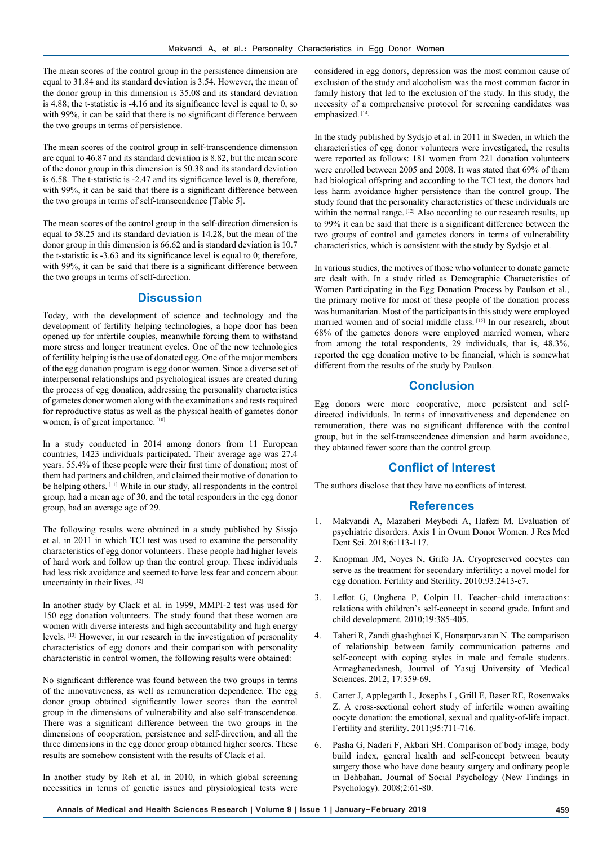The mean scores of the control group in the persistence dimension are equal to 31.84 and its standard deviation is 3.54. However, the mean of the donor group in this dimension is 35.08 and its standard deviation is 4.88; the t-statistic is -4.16 and its significance level is equal to 0, so with 99%, it can be said that there is no significant difference between the two groups in terms of persistence.

The mean scores of the control group in self-transcendence dimension are equal to 46.87 and its standard deviation is 8.82, but the mean score of the donor group in this dimension is 50.38 and its standard deviation is 6.58. The t-statistic is -2.47 and its significance level is 0, therefore, with 99%, it can be said that there is a significant difference between the two groups in terms of self-transcendence [Table 5].

The mean scores of the control group in the self-direction dimension is equal to 58.25 and its standard deviation is 14.28, but the mean of the donor group in this dimension is 66.62 and is standard deviation is 10.7 the t-statistic is -3.63 and its significance level is equal to 0; therefore, with 99%, it can be said that there is a significant difference between the two groups in terms of self-direction.

### **Discussion**

Today, with the development of science and technology and the development of fertility helping technologies, a hope door has been opened up for infertile couples, meanwhile forcing them to withstand more stress and longer treatment cycles. One of the new technologies of fertility helping is the use of donated egg. One of the major members of the egg donation program is egg donor women. Since a diverse set of interpersonal relationships and psychological issues are created during the process of egg donation, addressing the personality characteristics of gametes donor women along with the examinations and tests required for reproductive status as well as the physical health of gametes donor women, is of great importance. [10]

In a study conducted in 2014 among donors from 11 European countries, 1423 individuals participated. Their average age was 27.4 years. 55.4% of these people were their first time of donation; most of them had partners and children, and claimed their motive of donation to be helping others. [11] While in our study, all respondents in the control group, had a mean age of 30, and the total responders in the egg donor group, had an average age of 29.

The following results were obtained in a study published by Sissjo et al. in 2011 in which TCI test was used to examine the personality characteristics of egg donor volunteers. These people had higher levels of hard work and follow up than the control group. These individuals had less risk avoidance and seemed to have less fear and concern about uncertainty in their lives. [12]

In another study by Clack et al. in 1999, MMPI-2 test was used for 150 egg donation volunteers. The study found that these women are women with diverse interests and high accountability and high energy levels. [13] However, in our research in the investigation of personality characteristics of egg donors and their comparison with personality characteristic in control women, the following results were obtained:

No significant difference was found between the two groups in terms of the innovativeness, as well as remuneration dependence. The egg donor group obtained significantly lower scores than the control group in the dimensions of vulnerability and also self-transcendence. There was a significant difference between the two groups in the dimensions of cooperation, persistence and self-direction, and all the three dimensions in the egg donor group obtained higher scores. These results are somehow consistent with the results of Clack et al.

In another study by Reh et al. in 2010, in which global screening necessities in terms of genetic issues and physiological tests were considered in egg donors, depression was the most common cause of exclusion of the study and alcoholism was the most common factor in family history that led to the exclusion of the study. In this study, the necessity of a comprehensive protocol for screening candidates was emphasized.<sup>[14]</sup>

In the study published by Sydsjo et al. in 2011 in Sweden, in which the characteristics of egg donor volunteers were investigated, the results were reported as follows: 181 women from 221 donation volunteers were enrolled between 2005 and 2008. It was stated that 69% of them had biological offspring and according to the TCI test, the donors had less harm avoidance higher persistence than the control group. The study found that the personality characteristics of these individuals are within the normal range. [12] Also according to our research results, up to 99% it can be said that there is a significant difference between the two groups of control and gametes donors in terms of vulnerability characteristics, which is consistent with the study by Sydsjo et al.

In various studies, the motives of those who volunteer to donate gamete are dealt with. In a study titled as Demographic Characteristics of Women Participating in the Egg Donation Process by Paulson et al., the primary motive for most of these people of the donation process was humanitarian. Most of the participants in this study were employed married women and of social middle class. [15] In our research, about 68% of the gametes donors were employed married women, where from among the total respondents, 29 individuals, that is, 48.3%, reported the egg donation motive to be financial, which is somewhat different from the results of the study by Paulson.

#### **Conclusion**

Egg donors were more cooperative, more persistent and selfdirected individuals. In terms of innovativeness and dependence on remuneration, there was no significant difference with the control group, but in the self-transcendence dimension and harm avoidance, they obtained fewer score than the control group.

## **Conflict of Interest**

The authors disclose that they have no conflicts of interest.

#### **References**

- 1. Makvandi A, Mazaheri Meybodi A, Hafezi M. Evaluation of psychiatric disorders. Axis 1 in Ovum Donor Women. J Res Med Dent Sci. 2018;6:113-117.
- 2. Knopman JM, Noyes N, Grifo JA. Cryopreserved oocytes can serve as the treatment for secondary infertility: a novel model for egg donation. Fertility and Sterility. 2010;93:2413-e7.
- 3. Leflot G, Onghena P, Colpin H. Teacher–child interactions: relations with children's self-concept in second grade. Infant and child development. 2010;19:385-405.
- 4. Taheri R, Zandi ghashghaei K, Honarparvaran N. The comparison of relationship between family communication patterns and self-concept with coping styles in male and female students. Armaghanedanesh, Journal of Yasuj University of Medical Sciences. 2012; 17:359-69.
- 5. Carter J, Applegarth L, Josephs L, Grill E, Baser RE, Rosenwaks Z. A cross-sectional cohort study of infertile women awaiting oocyte donation: the emotional, sexual and quality-of-life impact. Fertility and sterility. 2011;95:711-716.
- 6. Pasha G, Naderi F, Akbari SH. Comparison of body image, body build index, general health and self-concept between beauty surgery those who have done beauty surgery and ordinary people in Behbahan. Journal of Social Psychology (New Findings in Psychology). 2008;2:61-80.